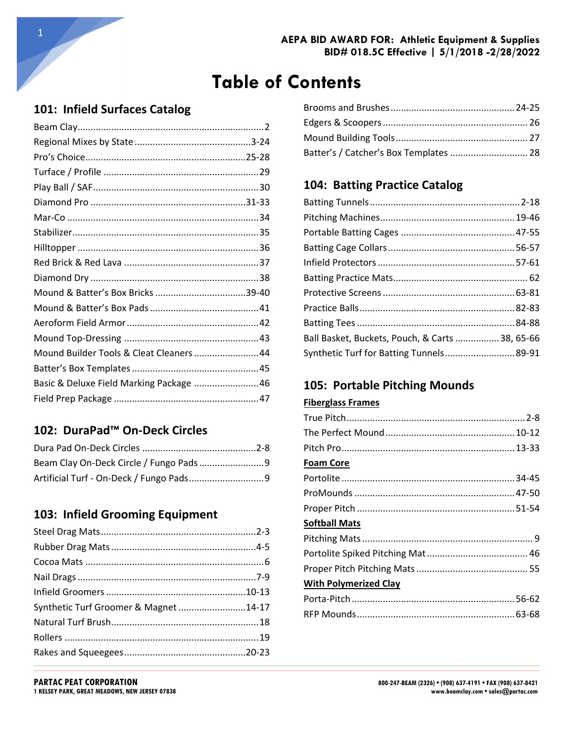## 101: Infield Surfaces Catalog

| Mound Builder Tools & Cleat Cleaners 44  |  |
|------------------------------------------|--|
|                                          |  |
| Basic & Deluxe Field Marking Package  46 |  |
|                                          |  |

### 102: DuraPad™ On-Deck Circles

### 103: Infield Grooming Equipment

| Synthetic Turf Groomer & Magnet14-17 |  |
|--------------------------------------|--|
|                                      |  |
|                                      |  |
|                                      |  |
|                                      |  |

| Batter's / Catcher's Box Templates  28 |  |
|----------------------------------------|--|

### 104: Batting Practice Catalog

| Ball Basket, Buckets, Pouch, & Carts  38, 65-66 |  |
|-------------------------------------------------|--|
| Synthetic Turf for Batting Tunnels 89-91        |  |

### 105: Portable Pitching Mounds

#### **Fiberglass Frames**

| <b>Foam Core</b>             |  |
|------------------------------|--|
|                              |  |
|                              |  |
|                              |  |
| <b>Softball Mats</b>         |  |
|                              |  |
|                              |  |
|                              |  |
| <b>With Polymerized Clay</b> |  |
|                              |  |
|                              |  |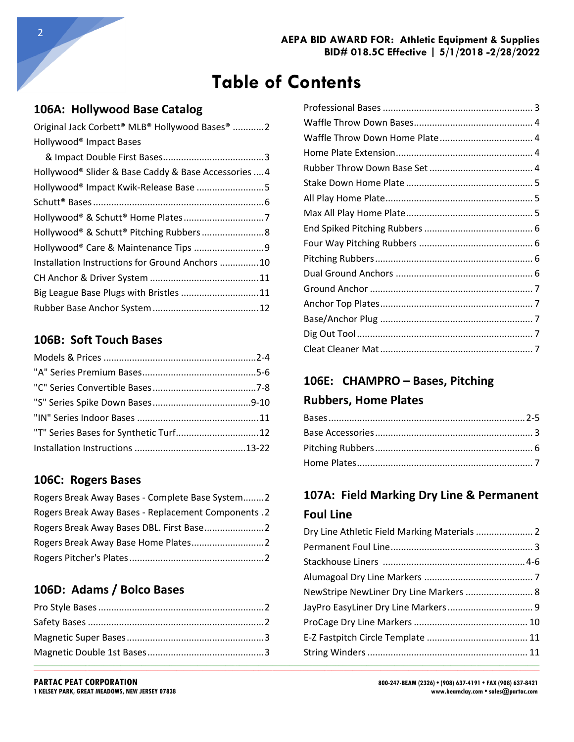$\_$  ,  $\_$  ,  $\_$  ,  $\_$  ,  $\_$  ,  $\_$  ,  $\_$  ,  $\_$  ,  $\_$  ,  $\_$  ,  $\_$  ,  $\_$  ,  $\_$  ,  $\_$  ,  $\_$  ,  $\_$  ,  $\_$  ,  $\_$  ,  $\_$  ,  $\_$  ,  $\_$  ,  $\_$  ,  $\_$  ,  $\_$  ,  $\_$  ,  $\_$  ,  $\_$  ,  $\_$  ,  $\_$  ,  $\_$  ,  $\_$  ,  $\_$  ,  $\_$  ,  $\_$  ,  $\_$  ,  $\_$  ,  $\_$  ,

### **106A: Hollywood Base Catalog**

| Original Jack Corbett® MLB® Hollywood Bases® 2       |
|------------------------------------------------------|
| Hollywood <sup>®</sup> Impact Bases                  |
|                                                      |
| Hollywood® Slider & Base Caddy & Base Accessories  4 |
|                                                      |
|                                                      |
|                                                      |
|                                                      |
|                                                      |
| Installation Instructions for Ground Anchors 10      |
|                                                      |
| Big League Base Plugs with Bristles  11              |
|                                                      |

#### **106B: Soft Touch Bases**

| "T" Series Bases for Synthetic Turf 12 |  |
|----------------------------------------|--|
|                                        |  |

#### **106C: Rogers Bases**

| Rogers Break Away Bases - Complete Base System2     |  |
|-----------------------------------------------------|--|
| Rogers Break Away Bases - Replacement Components .2 |  |
|                                                     |  |
|                                                     |  |
|                                                     |  |

### **106D: Adams / Bolco Bases**

## **106E: CHAMPRO – Bases, Pitching**

#### **Rubbers, Home Plates**

## **107A: Field Marking Dry Line & Permanent Foul Line**

| Rogers Break Away Bases DBL. First Base2 |                                        |  |
|------------------------------------------|----------------------------------------|--|
|                                          |                                        |  |
|                                          |                                        |  |
|                                          |                                        |  |
| 106D: Adams / Bolco Bases                | NewStripe NewLiner Dry Line Markers  8 |  |
|                                          |                                        |  |
|                                          |                                        |  |
|                                          |                                        |  |
|                                          |                                        |  |

**PARTAC PEAT CORPORATION**<br>
1 BOO-247-BEAM (2326) • (908) 637-4191 • FAX (908) 637-8421<br> **1 KELSEY PARK, GREAT MEADOWS, NEW JERSEY 07838**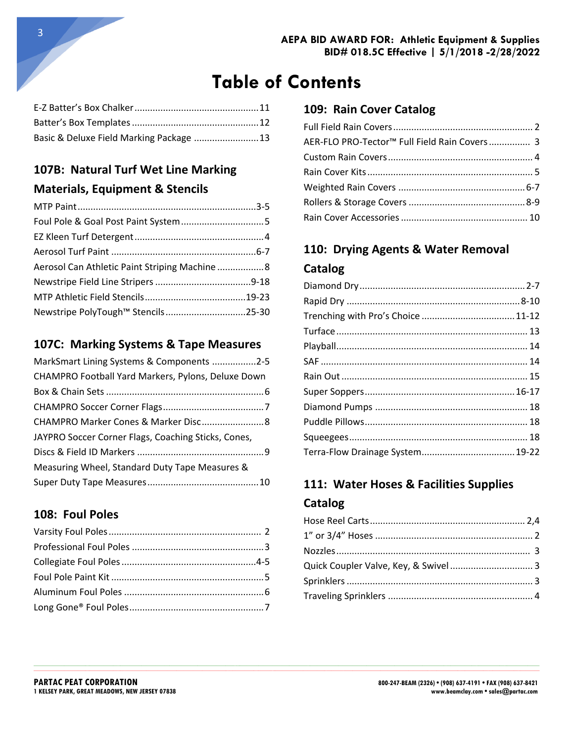**\_\_\_\_\_\_\_\_\_\_\_\_\_\_\_\_\_\_\_\_\_\_\_\_\_\_\_\_\_\_\_\_\_\_\_\_\_\_\_\_\_\_\_\_\_\_\_\_\_\_\_\_\_\_\_\_\_\_\_\_\_\_\_\_\_\_\_\_\_\_\_\_\_\_\_\_\_\_\_\_\_\_\_\_\_\_\_\_\_\_\_\_\_\_\_\_\_\_\_\_\_\_\_\_\_\_\_\_\_\_\_\_\_\_\_\_\_\_\_\_\_\_\_\_\_\_\_\_\_\_\_\_\_\_\_\_\_\_\_\_\_\_\_\_\_\_\_\_\_\_\_\_\_\_\_\_\_\_\_\_\_\_\_\_\_\_\_\_\_\_\_\_\_\_\_\_\_\_\_\_\_\_\_\_\_\_\_\_\_\_\_\_\_\_\_\_\_\_\_\_\_\_\_\_\_\_\_\_\_\_\_\_\_\_\_\_**  $\_$  ,  $\_$  ,  $\_$  ,  $\_$  ,  $\_$  ,  $\_$  ,  $\_$  ,  $\_$  ,  $\_$  ,  $\_$  ,  $\_$  ,  $\_$  ,  $\_$  ,  $\_$  ,  $\_$  ,  $\_$  ,  $\_$  ,  $\_$  ,  $\_$  ,  $\_$  ,  $\_$  ,  $\_$  ,  $\_$  ,  $\_$  ,  $\_$  ,  $\_$  ,  $\_$  ,  $\_$  ,  $\_$  ,  $\_$  ,  $\_$  ,  $\_$  ,  $\_$  ,  $\_$  ,  $\_$  ,  $\_$  ,  $\_$  ,

| Basic & Deluxe Field Marking Package  13 |  |
|------------------------------------------|--|

# **107B: Natural Turf Wet Line Marking Materials, Equipment & Stencils**

| Aerosol Can Athletic Paint Striping Machine 8 |  |
|-----------------------------------------------|--|
|                                               |  |
|                                               |  |
| Newstripe PolyTough™ Stencils25-30            |  |
|                                               |  |

### **107C: Marking Systems & Tape Measures**

| MarkSmart Lining Systems & Components 2-5           |  |
|-----------------------------------------------------|--|
| CHAMPRO Football Yard Markers, Pylons, Deluxe Down  |  |
|                                                     |  |
|                                                     |  |
|                                                     |  |
| JAYPRO Soccer Corner Flags, Coaching Sticks, Cones, |  |
|                                                     |  |
| Measuring Wheel, Standard Duty Tape Measures &      |  |
|                                                     |  |

### **108: Foul Poles**

### **109: Rain Cover Catalog**

| AER-FLO PRO-Tector™ Full Field Rain Covers 3 |  |
|----------------------------------------------|--|
|                                              |  |
|                                              |  |
|                                              |  |
|                                              |  |
|                                              |  |

# **110: Drying Agents & Water Removal Catalog**

# **111: Water Hoses & Facilities Supplies Catalog**

| Quick Coupler Valve, Key, & Swivel 3 |  |
|--------------------------------------|--|
|                                      |  |
|                                      |  |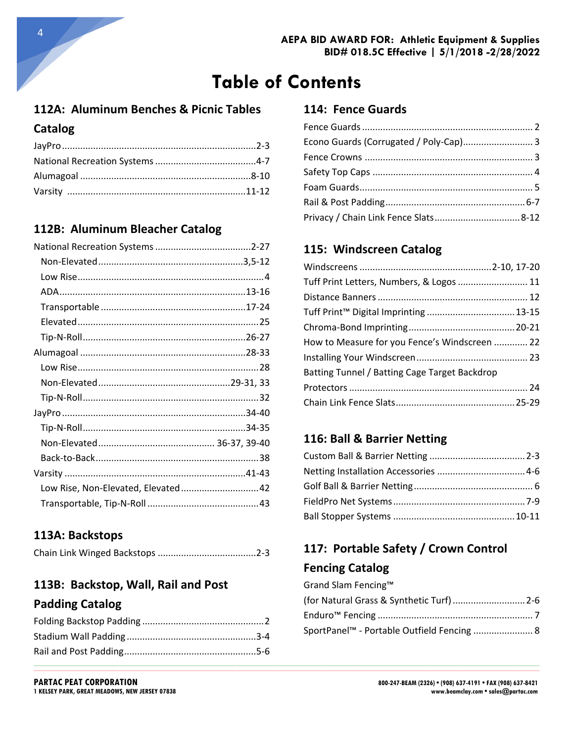**\_\_\_\_\_\_\_\_\_\_\_\_\_\_\_\_\_\_\_\_\_\_\_\_\_\_\_\_\_\_\_\_\_\_\_\_\_\_\_\_\_\_\_\_\_\_\_\_\_\_\_\_\_\_\_\_\_\_\_\_\_\_\_\_\_\_\_\_\_\_\_\_\_\_\_\_\_\_\_\_\_\_\_\_\_\_\_\_\_\_\_\_\_\_\_\_\_\_\_\_\_\_\_\_\_\_\_\_\_\_\_\_\_\_\_\_\_\_\_\_\_\_\_\_\_\_\_\_\_\_\_\_\_\_\_\_\_\_\_\_\_\_\_\_\_\_\_\_\_\_\_\_\_\_\_\_\_\_\_\_\_\_\_\_\_\_\_\_\_\_\_\_\_\_\_\_\_\_\_\_\_\_\_\_\_\_\_\_\_\_\_\_\_\_\_\_\_\_\_\_\_\_\_\_\_\_\_\_\_\_\_\_\_\_\_\_**  $\_$  ,  $\_$  ,  $\_$  ,  $\_$  ,  $\_$  ,  $\_$  ,  $\_$  ,  $\_$  ,  $\_$  ,  $\_$  ,  $\_$  ,  $\_$  ,  $\_$  ,  $\_$  ,  $\_$  ,  $\_$  ,  $\_$  ,  $\_$  ,  $\_$  ,  $\_$  ,  $\_$  ,  $\_$  ,  $\_$  ,  $\_$  ,  $\_$  ,  $\_$  ,  $\_$  ,  $\_$  ,  $\_$  ,  $\_$  ,  $\_$  ,  $\_$  ,  $\_$  ,  $\_$  ,  $\_$  ,  $\_$  ,  $\_$  ,

## **112A: Aluminum Benches & Picnic Tables Catalog**

### **112B: Aluminum Bleacher Catalog**

| Low Rise, Non-Elevated, Elevated 42 |
|-------------------------------------|
|                                     |
|                                     |

### **113A: Backstops**

|--|--|

# **113B: Backstop, Wall, Rail and Post**

### **Padding Catalog**

#### **114: Fence Guards**

| Econo Guards (Corrugated / Poly-Cap) 3 |  |
|----------------------------------------|--|
|                                        |  |
|                                        |  |
|                                        |  |
|                                        |  |
|                                        |  |

### **115: Windscreen Catalog**

| Tuff Print Letters, Numbers, & Logos  11      |  |
|-----------------------------------------------|--|
|                                               |  |
|                                               |  |
|                                               |  |
| How to Measure for you Fence's Windscreen  22 |  |
|                                               |  |
| Batting Tunnel / Batting Cage Target Backdrop |  |
|                                               |  |
|                                               |  |

### **116: Ball & Barrier Netting**

# **117: Portable Safety / Crown Control Fencing Catalog**

| Grand Slam Fencing™                                    |  |
|--------------------------------------------------------|--|
|                                                        |  |
|                                                        |  |
| SportPanel <sup>™</sup> - Portable Outfield Fencing  8 |  |

4

**1 KELSEY PARK, GREAT MEADOWS, NEW JERSEY 07838**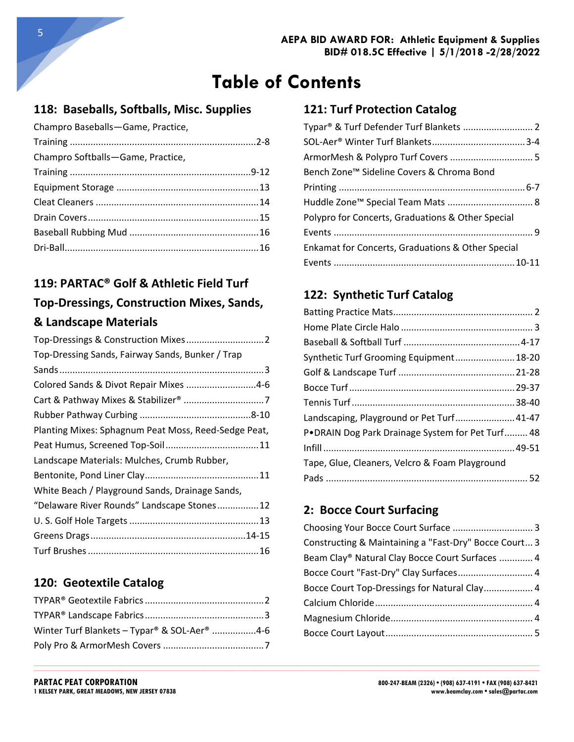## **118: Baseballs, Softballs, Misc. Supplies**

| Champro Baseballs-Game, Practice, |  |
|-----------------------------------|--|
|                                   |  |
| Champro Softballs-Game, Practice, |  |
|                                   |  |
|                                   |  |
|                                   |  |
|                                   |  |
|                                   |  |
|                                   |  |
|                                   |  |

# **119: PARTAC® Golf & Athletic Field Turf Top-Dressings, Construction Mixes, Sands, & Landscape Materials**

| Top-Dressing Sands, Fairway Sands, Bunker / Trap     |
|------------------------------------------------------|
|                                                      |
| Colored Sands & Divot Repair Mixes 4-6               |
|                                                      |
|                                                      |
| Planting Mixes: Sphagnum Peat Moss, Reed-Sedge Peat, |
|                                                      |
| Landscape Materials: Mulches, Crumb Rubber,          |
|                                                      |
| White Beach / Playground Sands, Drainage Sands,      |
| "Delaware River Rounds" Landscape Stones12           |
|                                                      |
|                                                      |
|                                                      |

### **120: Geotextile Catalog**

| Winter Turf Blankets - Typar® & SOL-Aer® 4-6 |  |
|----------------------------------------------|--|
|                                              |  |

### **121: Turf Protection Catalog**

| Bench Zone™ Sideline Covers & Chroma Bond         |  |
|---------------------------------------------------|--|
|                                                   |  |
|                                                   |  |
| Polypro for Concerts, Graduations & Other Special |  |
|                                                   |  |
| Enkamat for Concerts, Graduations & Other Special |  |
|                                                   |  |

## **122: Synthetic Turf Catalog**

| Synthetic Turf Grooming Equipment 18-20          |  |
|--------------------------------------------------|--|
|                                                  |  |
|                                                  |  |
|                                                  |  |
| Landscaping, Playground or Pet Turf 41-47        |  |
| P.DRAIN Dog Park Drainage System for Pet Turf 48 |  |
|                                                  |  |
| Tape, Glue, Cleaners, Velcro & Foam Playground   |  |
|                                                  |  |

### **2: Bocce Court Surfacing**

**\_\_\_\_\_\_\_\_\_\_\_\_\_\_\_\_\_\_\_\_\_\_\_\_\_\_\_\_\_\_\_\_\_\_\_\_\_\_\_\_\_\_\_\_\_\_\_\_\_\_\_\_\_\_\_\_\_\_\_\_\_\_\_\_\_\_\_\_\_\_\_\_\_\_\_\_\_\_\_\_\_\_\_\_\_\_\_\_\_\_\_\_\_\_\_\_\_\_\_\_\_\_\_\_\_\_\_\_\_\_\_\_\_\_\_\_\_\_\_\_\_\_\_\_\_\_\_\_\_\_\_\_\_\_\_\_\_\_\_\_\_\_\_\_\_\_\_\_\_\_\_\_\_\_\_\_\_\_\_\_\_\_\_\_\_\_\_\_\_\_\_\_\_\_\_\_\_\_\_\_\_\_\_\_\_\_\_\_\_\_\_\_\_\_\_\_\_\_\_\_\_\_\_\_\_\_\_\_\_\_\_\_\_\_\_\_**  $\_$  ,  $\_$  ,  $\_$  ,  $\_$  ,  $\_$  ,  $\_$  ,  $\_$  ,  $\_$  ,  $\_$  ,  $\_$  ,  $\_$  ,  $\_$  ,  $\_$  ,  $\_$  ,  $\_$  ,  $\_$  ,  $\_$  ,  $\_$  ,  $\_$  ,  $\_$  ,  $\_$  ,  $\_$  ,  $\_$  ,  $\_$  ,  $\_$  ,  $\_$  ,  $\_$  ,  $\_$  ,  $\_$  ,  $\_$  ,  $\_$  ,  $\_$  ,  $\_$  ,  $\_$  ,  $\_$  ,  $\_$  ,  $\_$  ,

| Constructing & Maintaining a "Fast-Dry" Bocce Court 3 |  |
|-------------------------------------------------------|--|
| Beam Clay® Natural Clay Bocce Court Surfaces  4       |  |
| Bocce Court "Fast-Dry" Clay Surfaces 4                |  |
| Bocce Court Top-Dressings for Natural Clay 4          |  |
|                                                       |  |
|                                                       |  |
|                                                       |  |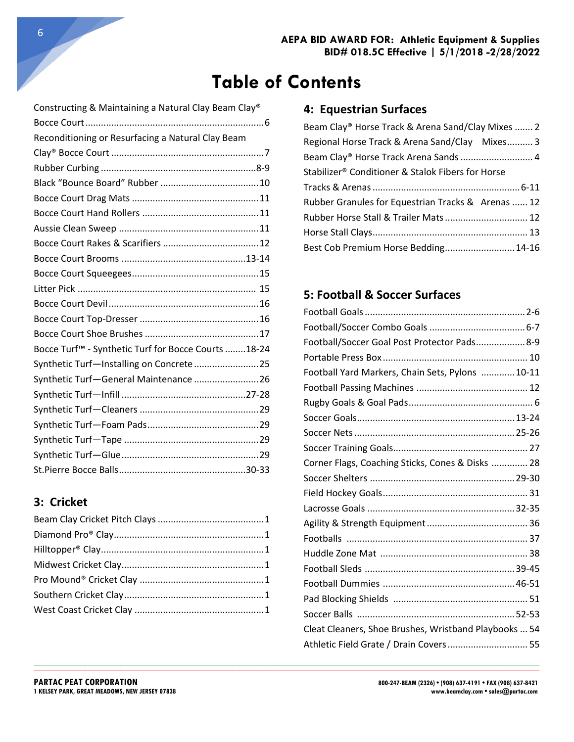**\_\_\_\_\_\_\_\_\_\_\_\_\_\_\_\_\_\_\_\_\_\_\_\_\_\_\_\_\_\_\_\_\_\_\_\_\_\_\_\_\_\_\_\_\_\_\_\_\_\_\_\_\_\_\_\_\_\_\_\_\_\_\_\_\_\_\_\_\_\_\_\_\_\_\_\_\_\_\_\_\_\_\_\_\_\_\_\_\_\_\_\_\_\_\_\_\_\_\_\_\_\_\_\_\_\_\_\_\_\_\_\_\_\_\_\_\_\_\_\_\_\_\_\_\_\_\_\_\_\_\_\_\_\_\_\_\_\_\_\_\_\_\_\_\_\_\_\_\_\_\_\_\_\_\_\_\_\_\_\_\_\_\_\_\_\_\_\_\_\_\_\_\_\_\_\_\_\_\_\_\_\_\_\_\_\_\_\_\_\_\_\_\_\_\_\_\_\_\_\_\_\_\_\_\_\_\_\_\_\_\_\_\_\_\_\_**  $\_$  ,  $\_$  ,  $\_$  ,  $\_$  ,  $\_$  ,  $\_$  ,  $\_$  ,  $\_$  ,  $\_$  ,  $\_$  ,  $\_$  ,  $\_$  ,  $\_$  ,  $\_$  ,  $\_$  ,  $\_$  ,  $\_$  ,  $\_$  ,  $\_$  ,  $\_$  ,  $\_$  ,  $\_$  ,  $\_$  ,  $\_$  ,  $\_$  ,  $\_$  ,  $\_$  ,  $\_$  ,  $\_$  ,  $\_$  ,  $\_$  ,  $\_$  ,  $\_$  ,  $\_$  ,  $\_$  ,  $\_$  ,  $\_$  ,

| Constructing & Maintaining a Natural Clay Beam Clay® |
|------------------------------------------------------|
|                                                      |
| Reconditioning or Resurfacing a Natural Clay Beam    |
|                                                      |
|                                                      |
|                                                      |
|                                                      |
|                                                      |
|                                                      |
|                                                      |
|                                                      |
|                                                      |
|                                                      |
|                                                      |
|                                                      |
|                                                      |
| Bocce Turf™ - Synthetic Turf for Bocce Courts 18-24  |
| Synthetic Turf-Installing on Concrete25              |
| Synthetic Turf-General Maintenance  26               |
|                                                      |
|                                                      |
|                                                      |
|                                                      |
|                                                      |
|                                                      |

### **3: Cricket**

### **4: Equestrian Surfaces**

| Beam Clay® Horse Track & Arena Sand/Clay Mixes  2  |
|----------------------------------------------------|
| Regional Horse Track & Arena Sand/Clay Mixes 3     |
| Beam Clay® Horse Track Arena Sands  4              |
| Stabilizer® Conditioner & Stalok Fibers for Horse  |
|                                                    |
| Rubber Granules for Equestrian Tracks & Arenas  12 |
| Rubber Horse Stall & Trailer Mats 12               |
|                                                    |
| Best Cob Premium Horse Bedding 14-16               |
|                                                    |

### **5: Football & Soccer Surfaces**

| Football/Soccer Goal Post Protector Pads 8-9          |  |
|-------------------------------------------------------|--|
|                                                       |  |
| Football Yard Markers, Chain Sets, Pylons  10-11      |  |
|                                                       |  |
|                                                       |  |
|                                                       |  |
|                                                       |  |
|                                                       |  |
| Corner Flags, Coaching Sticks, Cones & Disks  28      |  |
|                                                       |  |
|                                                       |  |
|                                                       |  |
|                                                       |  |
|                                                       |  |
|                                                       |  |
|                                                       |  |
|                                                       |  |
|                                                       |  |
|                                                       |  |
| Cleat Cleaners, Shoe Brushes, Wristband Playbooks  54 |  |
| Athletic Field Grate / Drain Covers 55                |  |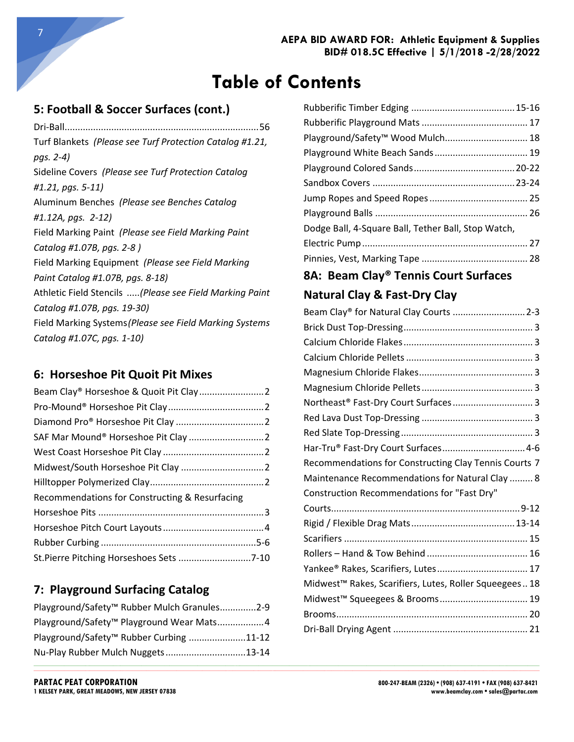**\_\_\_\_\_\_\_\_\_\_\_\_\_\_\_\_\_\_\_\_\_\_\_\_\_\_\_\_\_\_\_\_\_\_\_\_\_\_\_\_\_\_\_\_\_\_\_\_\_\_\_\_\_\_\_\_\_\_\_\_\_\_\_\_\_\_\_\_\_\_\_\_\_\_\_\_\_\_\_\_\_\_\_\_\_\_\_\_\_\_\_\_\_\_\_\_\_\_\_\_\_\_\_\_\_\_\_\_\_\_\_\_\_\_\_\_\_\_\_\_\_\_\_\_\_\_\_\_\_\_\_\_\_\_\_\_\_\_\_\_\_\_\_\_\_\_\_\_\_\_\_\_\_\_\_\_\_\_\_\_\_\_\_\_\_\_\_\_\_\_\_\_\_\_\_\_\_\_\_\_\_\_\_\_\_\_\_\_\_\_\_\_\_\_\_\_\_\_\_\_\_\_\_\_\_\_\_\_\_\_\_\_\_\_\_\_**  $\_$  ,  $\_$  ,  $\_$  ,  $\_$  ,  $\_$  ,  $\_$  ,  $\_$  ,  $\_$  ,  $\_$  ,  $\_$  ,  $\_$  ,  $\_$  ,  $\_$  ,  $\_$  ,  $\_$  ,  $\_$  ,  $\_$  ,  $\_$  ,  $\_$  ,  $\_$  ,  $\_$  ,  $\_$  ,  $\_$  ,  $\_$  ,  $\_$  ,  $\_$  ,  $\_$  ,  $\_$  ,  $\_$  ,  $\_$  ,  $\_$  ,  $\_$  ,  $\_$  ,  $\_$  ,  $\_$  ,  $\_$  ,  $\_$  ,

### **5: Football & Soccer Surfaces (cont.)**

Dri-Ball...........................................................................56 Turf Blankets *(Please see Turf Protection Catalog #1.21, pgs. 2-4)* Sideline Covers *(Please see Turf Protection Catalog #1.21, pgs. 5-11)* Aluminum Benches *(Please see Benches Catalog #1.12A, pgs. 2-12)* Field Marking Paint *(Please see Field Marking Paint Catalog #1.07B, pgs. 2-8 )* Field Marking Equipment *(Please see Field Marking Paint Catalog #1.07B, pgs. 8-18)* Athletic Field Stencils .....*(Please see Field Marking Paint Catalog #1.07B, pgs. 19-30)* Field Marking Systems*(Please see Field Marking Systems Catalog #1.07C, pgs. 1-10)*

#### **6: Horseshoe Pit Quoit Pit Mixes**

| Recommendations for Constructing & Resurfacing |  |
|------------------------------------------------|--|
|                                                |  |
|                                                |  |
|                                                |  |
| St.Pierre Pitching Horseshoes Sets 7-10        |  |

### **7: Playground Surfacing Catalog**

| Playground/Safety <sup>™</sup> Rubber Mulch Granules2-9 |  |
|---------------------------------------------------------|--|
| Playground/Safety <sup>™</sup> Playground Wear Mats4    |  |
| Playground/Safety <sup>™</sup> Rubber Curbing 11-12     |  |
|                                                         |  |

| Playground/Safety <sup>™</sup> Wood Mulch 18        |  |
|-----------------------------------------------------|--|
|                                                     |  |
|                                                     |  |
|                                                     |  |
|                                                     |  |
|                                                     |  |
| Dodge Ball, 4-Square Ball, Tether Ball, Stop Watch, |  |
|                                                     |  |
|                                                     |  |
|                                                     |  |

## **8A: Beam Clay® Tennis Court Surfaces Natural Clay & Fast-Dry Clay**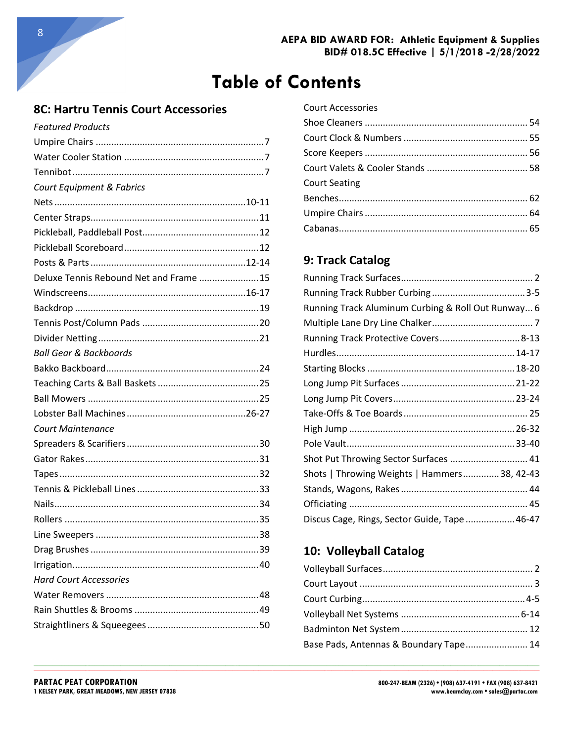### **8C: Hartru Tennis Court Accessories**

| <b>Featured Products</b>               |  |
|----------------------------------------|--|
|                                        |  |
|                                        |  |
|                                        |  |
| Court Equipment & Fabrics              |  |
|                                        |  |
|                                        |  |
|                                        |  |
|                                        |  |
|                                        |  |
| Deluxe Tennis Rebound Net and Frame 15 |  |
|                                        |  |
|                                        |  |
|                                        |  |
|                                        |  |
| Ball Gear & Backboards                 |  |
|                                        |  |
|                                        |  |
|                                        |  |
|                                        |  |
| <b>Court Maintenance</b>               |  |
|                                        |  |
|                                        |  |
|                                        |  |
|                                        |  |
|                                        |  |
|                                        |  |
|                                        |  |
|                                        |  |
|                                        |  |
| <b>Hard Court Accessories</b>          |  |
|                                        |  |
|                                        |  |
|                                        |  |

| <b>Court Accessories</b> |  |
|--------------------------|--|
|                          |  |
|                          |  |
|                          |  |
|                          |  |
| <b>Court Seating</b>     |  |
|                          |  |
|                          |  |
|                          |  |

## 9: Track Catalog

| Running Track Aluminum Curbing & Roll Out Runway 6 |  |
|----------------------------------------------------|--|
|                                                    |  |
| Running Track Protective Covers 8-13               |  |
|                                                    |  |
|                                                    |  |
|                                                    |  |
|                                                    |  |
|                                                    |  |
|                                                    |  |
|                                                    |  |
| Shot Put Throwing Sector Surfaces  41              |  |
| Shots   Throwing Weights   Hammers 38, 42-43       |  |
|                                                    |  |
|                                                    |  |
| Discus Cage, Rings, Sector Guide, Tape46-47        |  |

### 10: Volleyball Catalog

| Base Pads, Antennas & Boundary Tape 14 |  |
|----------------------------------------|--|
|                                        |  |